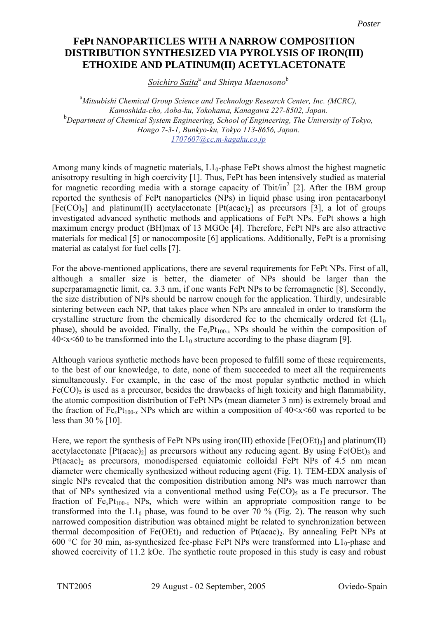## **FePt nanoparticles with a narrow composition distribution synthesized via FePt NANOPARTICLES WITH A NARROW COMPOSITION pyrolysis of iron(III) ethoxide and platinum(II) acetylacetonate DISTRIBUTION SYNTHESIZED VIA PYROLYSIS OF IRON(III) ETHOXIDE AND PLATINUM(II) ACETYLACETONATE**

*Soichiro Saita*<sup>a</sup>  *and Shinya Maenosono*<sup>b</sup>

<sup>a</sup> Mitsubishi Chemical Group Science and Technology Research Center, Inc. (MCRC), *Kamoshida-cho, Aoba-ku, Yokohama, Kanagawa 227-8502, Japan.* <sup>b</sup>Department of Chemical System Engineering, School of Engineering, The University of Tokyo, *Hongo 7-3-1, Bunkyo-ku, Tokyo 113-8656, Japan. 1707607@cc.m-kagaku.co.jp*

Among many kinds of magnetic materials,  $L1_0$ -phase FePt shows almost the highest magnetic anisotropy resulting in high coercivity [1]. Thus, FePt has been intensively studied as material for magnetic recording media with a storage capacity of Tbit/in<sup>2</sup> [2]. After the IBM group reported the synthesis of FePt nanoparticles (NPs) in liquid phase using iron pentacarbonyl  $[Fe(CO)<sub>5</sub>]$  and platinum(II) acetylacetonate  $[Pt(acac)<sub>2</sub>]$  as precursors [3], a lot of groups investigated advanced synthetic methods and applications of FePt NPs. FePt shows a high maximum energy product (BH)max of 13 MGOe [4]. Therefore, FePt NPs are also attractive materials for medical [5] or nanocomposite [6] applications. Additionally, FePt is a promising material as catalyst for fuel cells [7].

For the above-mentioned applications, there are several requirements for FePt NPs. First of all, although a smaller size is better, the diameter of NPs should be larger than the superparamagnetic limit, ca. 3.3 nm, if one wants FePt NPs to be ferromagnetic [8]. Secondly, the size distribution of NPs should be narrow enough for the application. Thirdly, undesirable sintering between each NP, that takes place when NPs are annealed in order to transform the crystalline structure from the chemically disordered fcc to the chemically ordered fct  $(L)$ <sub>0</sub> phase), should be avoided. Finally, the  $Fe<sub>x</sub>Pt<sub>100-x</sub>$  NPs should be within the composition of  $40 \le x \le 60$  to be transformed into the  $L1_0$  structure according to the phase diagram [9].

Although various synthetic methods have been proposed to fulfill some of these requirements, to the best of our knowledge, to date, none of them succeeded to meet all the requirements simultaneously. For example, in the case of the most popular synthetic method in which  $Fe(CO)$ <sub>5</sub> is used as a precursor, besides the drawbacks of high toxicity and high flammability, the atomic composition distribution of FePt NPs (mean diameter 3 nm) is extremely broad and the fraction of  $Fe_xPt_{100-x}$  NPs which are within a composition of  $40 \le x \le 60$  was reported to be less than 30 % [10].

Here, we report the synthesis of FePt NPs using iron(III) ethoxide  $[Fe(OEt)_3]$  and platinum(II) acetylacetonate  $[Pt(acac)_2]$  as precursors without any reducing agent. By using  $Fe(OEt)$ <sub>3</sub> and Pt(acac)<sub>2</sub> as precursors, monodispersed equiatomic colloidal FePt NPs of 4.5 nm mean diameter were chemically synthesized without reducing agent (Fig. 1). TEM-EDX analysis of single NPs revealed that the composition distribution among NPs was much narrower than that of NPs synthesized via a conventional method using  $Fe(CO)$ <sub>5</sub> as a Fe precursor. The fraction of  $Fe_{x}Pt_{100-x}$  NPs, which were within an appropriate composition range to be transformed into the  $L1_0$  phase, was found to be over 70 % (Fig. 2). The reason why such narrowed composition distribution was obtained might be related to synchronization between thermal decomposition of  $Fe(OEt)$ <sub>3</sub> and reduction of  $Pt(acac)_2$ . By annealing FePt NPs at 600 °C for 30 min, as-synthesized fcc-phase FePt NPs were transformed into  $L1_0$ -phase and showed coercivity of 11.2 kOe. The synthetic route proposed in this study is easy and robust